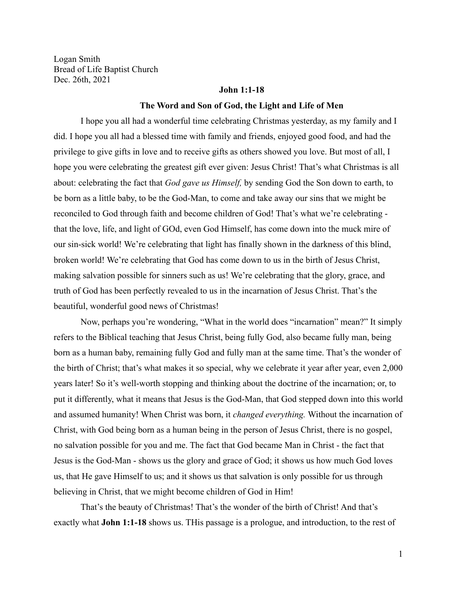Logan Smith Bread of Life Baptist Church Dec. 26th, 2021

### **John 1:1-18**

#### **The Word and Son of God, the Light and Life of Men**

I hope you all had a wonderful time celebrating Christmas yesterday, as my family and I did. I hope you all had a blessed time with family and friends, enjoyed good food, and had the privilege to give gifts in love and to receive gifts as others showed you love. But most of all, I hope you were celebrating the greatest gift ever given: Jesus Christ! That's what Christmas is all about: celebrating the fact that *God gave us Himself,* by sending God the Son down to earth, to be born as a little baby, to be the God-Man, to come and take away our sins that we might be reconciled to God through faith and become children of God! That's what we're celebrating that the love, life, and light of GOd, even God Himself, has come down into the muck mire of our sin-sick world! We're celebrating that light has finally shown in the darkness of this blind, broken world! We're celebrating that God has come down to us in the birth of Jesus Christ, making salvation possible for sinners such as us! We're celebrating that the glory, grace, and truth of God has been perfectly revealed to us in the incarnation of Jesus Christ. That's the beautiful, wonderful good news of Christmas!

Now, perhaps you're wondering, "What in the world does "incarnation" mean?" It simply refers to the Biblical teaching that Jesus Christ, being fully God, also became fully man, being born as a human baby, remaining fully God and fully man at the same time. That's the wonder of the birth of Christ; that's what makes it so special, why we celebrate it year after year, even 2,000 years later! So it's well-worth stopping and thinking about the doctrine of the incarnation; or, to put it differently, what it means that Jesus is the God-Man, that God stepped down into this world and assumed humanity! When Christ was born, it *changed everything.* Without the incarnation of Christ, with God being born as a human being in the person of Jesus Christ, there is no gospel, no salvation possible for you and me. The fact that God became Man in Christ - the fact that Jesus is the God-Man - shows us the glory and grace of God; it shows us how much God loves us, that He gave Himself to us; and it shows us that salvation is only possible for us through believing in Christ, that we might become children of God in Him!

That's the beauty of Christmas! That's the wonder of the birth of Christ! And that's exactly what **John 1:1-18** shows us. THis passage is a prologue, and introduction, to the rest of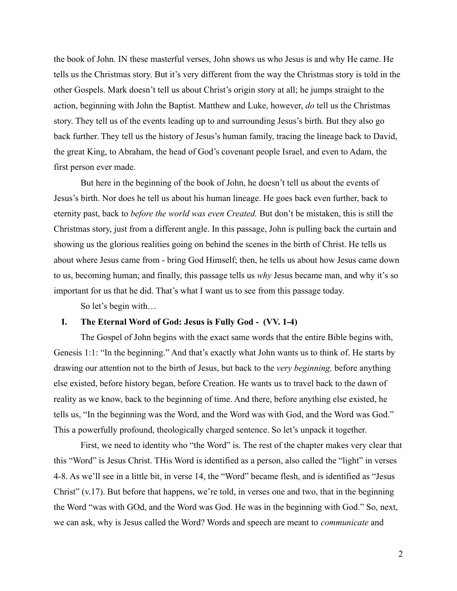the book of John. IN these masterful verses, John shows us who Jesus is and why He came. He tells us the Christmas story. But it's very different from the way the Christmas story is told in the other Gospels. Mark doesn't tell us about Christ's origin story at all; he jumps straight to the action, beginning with John the Baptist. Matthew and Luke, however, *do* tell us the Christmas story. They tell us of the events leading up to and surrounding Jesus's birth. But they also go back further. They tell us the history of Jesus's human family, tracing the lineage back to David, the great King, to Abraham, the head of God's covenant people Israel, and even to Adam, the first person ever made.

But here in the beginning of the book of John, he doesn't tell us about the events of Jesus's birth. Nor does he tell us about his human lineage. He goes back even further, back to eternity past, back to *before the world was even Created.* But don't be mistaken, this is still the Christmas story, just from a different angle. In this passage, John is pulling back the curtain and showing us the glorious realities going on behind the scenes in the birth of Christ. He tells us about where Jesus came from - bring God Himself; then, he tells us about how Jesus came down to us, becoming human; and finally, this passage tells us *why* Jesus became man, and why it's so important for us that he did. That's what I want us to see from this passage today.

So let's begin with…

# **I. The Eternal Word of God: Jesus is Fully God - (VV. 1-4)**

The Gospel of John begins with the exact same words that the entire Bible begins with, Genesis 1:1: "In the beginning." And that's exactly what John wants us to think of. He starts by drawing our attention not to the birth of Jesus, but back to the *very beginning,* before anything else existed, before history began, before Creation. He wants us to travel back to the dawn of reality as we know, back to the beginning of time. And there, before anything else existed, he tells us, "In the beginning was the Word, and the Word was with God, and the Word was God." This a powerfully profound, theologically charged sentence. So let's unpack it together.

First, we need to identity who "the Word" is. The rest of the chapter makes very clear that this "Word" is Jesus Christ. THis Word is identified as a person, also called the "light" in verses 4-8. As we'll see in a little bit, in verse 14, the "Word" became flesh, and is identified as "Jesus Christ" (v.17). But before that happens, we're told, in verses one and two, that in the beginning the Word "was with GOd, and the Word was God. He was in the beginning with God." So, next, we can ask, why is Jesus called the Word? Words and speech are meant to *communicate* and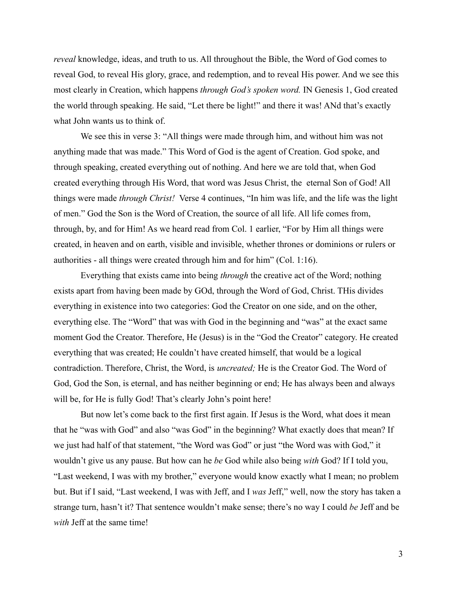*reveal* knowledge, ideas, and truth to us. All throughout the Bible, the Word of God comes to reveal God, to reveal His glory, grace, and redemption, and to reveal His power. And we see this most clearly in Creation, which happens *through God's spoken word.* IN Genesis 1, God created the world through speaking. He said, "Let there be light!" and there it was! ANd that's exactly what John wants us to think of.

We see this in verse 3: "All things were made through him, and without him was not anything made that was made." This Word of God is the agent of Creation. God spoke, and through speaking, created everything out of nothing. And here we are told that, when God created everything through His Word, that word was Jesus Christ, the eternal Son of God! All things were made *through Christ!* Verse 4 continues, "In him was life, and the life was the light of men." God the Son is the Word of Creation, the source of all life. All life comes from, through, by, and for Him! As we heard read from Col. 1 earlier, "For by Him all things were created, in heaven and on earth, visible and invisible, whether thrones or dominions or rulers or authorities - all things were created through him and for him" (Col. 1:16).

Everything that exists came into being *through* the creative act of the Word; nothing exists apart from having been made by GOd, through the Word of God, Christ. THis divides everything in existence into two categories: God the Creator on one side, and on the other, everything else. The "Word" that was with God in the beginning and "was" at the exact same moment God the Creator. Therefore, He (Jesus) is in the "God the Creator" category. He created everything that was created; He couldn't have created himself, that would be a logical contradiction. Therefore, Christ, the Word, is *uncreated;* He is the Creator God. The Word of God, God the Son, is eternal, and has neither beginning or end; He has always been and always will be, for He is fully God! That's clearly John's point here!

But now let's come back to the first first again. If Jesus is the Word, what does it mean that he "was with God" and also "was God" in the beginning? What exactly does that mean? If we just had half of that statement, "the Word was God" or just "the Word was with God," it wouldn't give us any pause. But how can he *be* God while also being *with* God? If I told you, "Last weekend, I was with my brother," everyone would know exactly what I mean; no problem but. But if I said, "Last weekend, I was with Jeff, and I *was* Jeff," well, now the story has taken a strange turn, hasn't it? That sentence wouldn't make sense; there's no way I could *be* Jeff and be *with* Jeff at the same time!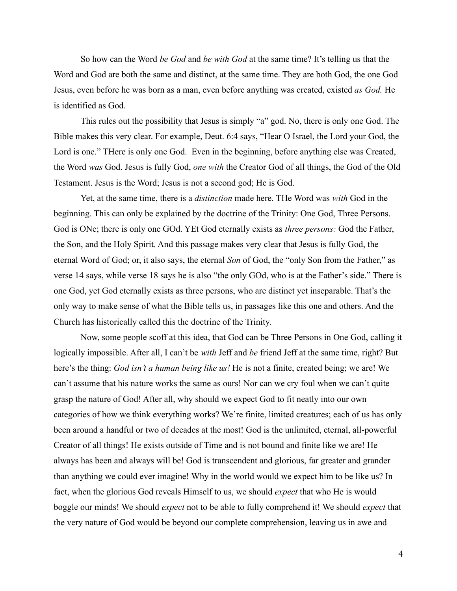So how can the Word *be God* and *be with God* at the same time? It's telling us that the Word and God are both the same and distinct, at the same time. They are both God, the one God Jesus, even before he was born as a man, even before anything was created, existed *as God.* He is identified as God.

This rules out the possibility that Jesus is simply "a" god. No, there is only one God. The Bible makes this very clear. For example, Deut. 6:4 says, "Hear O Israel, the Lord your God, the Lord is one." THere is only one God. Even in the beginning, before anything else was Created, the Word *was* God. Jesus is fully God, *one with* the Creator God of all things, the God of the Old Testament. Jesus is the Word; Jesus is not a second god; He is God.

Yet, at the same time, there is a *distinction* made here. THe Word was *with* God in the beginning. This can only be explained by the doctrine of the Trinity: One God, Three Persons. God is ONe; there is only one GOd. YEt God eternally exists as *three persons:* God the Father, the Son, and the Holy Spirit. And this passage makes very clear that Jesus is fully God, the eternal Word of God; or, it also says, the eternal *Son* of God, the "only Son from the Father," as verse 14 says, while verse 18 says he is also "the only GOd, who is at the Father's side." There is one God, yet God eternally exists as three persons, who are distinct yet inseparable. That's the only way to make sense of what the Bible tells us, in passages like this one and others. And the Church has historically called this the doctrine of the Trinity.

Now, some people scoff at this idea, that God can be Three Persons in One God, calling it logically impossible. After all, I can't be *with* Jeff and *be* friend Jeff at the same time, right? But here's the thing: *God isn't a human being like us!* He is not a finite, created being; we are! We can't assume that his nature works the same as ours! Nor can we cry foul when we can't quite grasp the nature of God! After all, why should we expect God to fit neatly into our own categories of how we think everything works? We're finite, limited creatures; each of us has only been around a handful or two of decades at the most! God is the unlimited, eternal, all-powerful Creator of all things! He exists outside of Time and is not bound and finite like we are! He always has been and always will be! God is transcendent and glorious, far greater and grander than anything we could ever imagine! Why in the world would we expect him to be like us? In fact, when the glorious God reveals Himself to us, we should *expect* that who He is would boggle our minds! We should *expect* not to be able to fully comprehend it! We should *expect* that the very nature of God would be beyond our complete comprehension, leaving us in awe and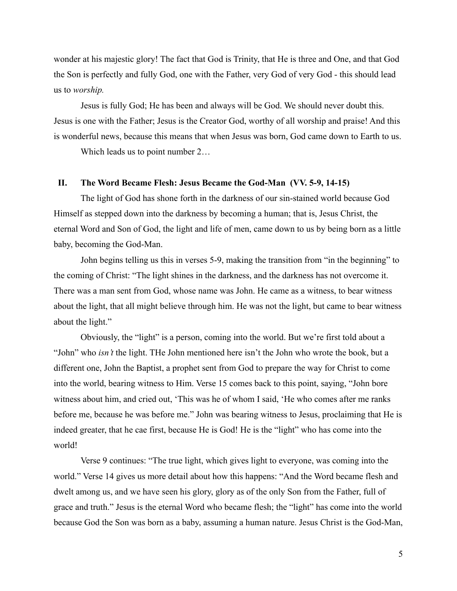wonder at his majestic glory! The fact that God is Trinity, that He is three and One, and that God the Son is perfectly and fully God, one with the Father, very God of very God - this should lead us to *worship.*

Jesus is fully God; He has been and always will be God. We should never doubt this. Jesus is one with the Father; Jesus is the Creator God, worthy of all worship and praise! And this is wonderful news, because this means that when Jesus was born, God came down to Earth to us.

Which leads us to point number 2…

## **II. The Word Became Flesh: Jesus Became the God-Man (VV. 5-9, 14-15)**

The light of God has shone forth in the darkness of our sin-stained world because God Himself as stepped down into the darkness by becoming a human; that is, Jesus Christ, the eternal Word and Son of God, the light and life of men, came down to us by being born as a little baby, becoming the God-Man.

John begins telling us this in verses 5-9, making the transition from "in the beginning" to the coming of Christ: "The light shines in the darkness, and the darkness has not overcome it. There was a man sent from God, whose name was John. He came as a witness, to bear witness about the light, that all might believe through him. He was not the light, but came to bear witness about the light."

Obviously, the "light" is a person, coming into the world. But we're first told about a "John" who *isn't* the light. THe John mentioned here isn't the John who wrote the book, but a different one, John the Baptist, a prophet sent from God to prepare the way for Christ to come into the world, bearing witness to Him. Verse 15 comes back to this point, saying, "John bore witness about him, and cried out, 'This was he of whom I said, 'He who comes after me ranks before me, because he was before me." John was bearing witness to Jesus, proclaiming that He is indeed greater, that he cae first, because He is God! He is the "light" who has come into the world!

Verse 9 continues: "The true light, which gives light to everyone, was coming into the world." Verse 14 gives us more detail about how this happens: "And the Word became flesh and dwelt among us, and we have seen his glory, glory as of the only Son from the Father, full of grace and truth." Jesus is the eternal Word who became flesh; the "light" has come into the world because God the Son was born as a baby, assuming a human nature. Jesus Christ is the God-Man,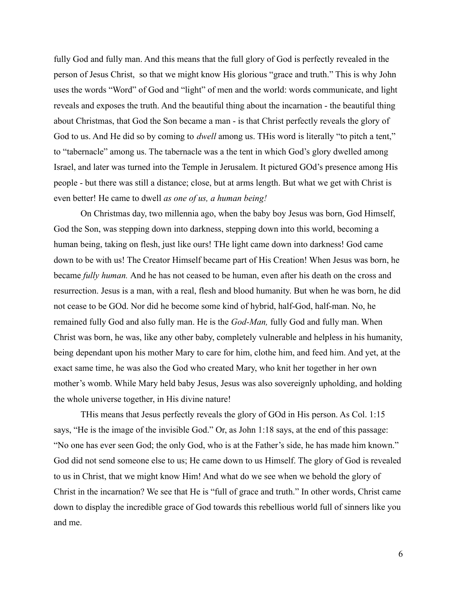fully God and fully man. And this means that the full glory of God is perfectly revealed in the person of Jesus Christ, so that we might know His glorious "grace and truth." This is why John uses the words "Word" of God and "light" of men and the world: words communicate, and light reveals and exposes the truth. And the beautiful thing about the incarnation - the beautiful thing about Christmas, that God the Son became a man - is that Christ perfectly reveals the glory of God to us. And He did so by coming to *dwell* among us. THis word is literally "to pitch a tent," to "tabernacle" among us. The tabernacle was a the tent in which God's glory dwelled among Israel, and later was turned into the Temple in Jerusalem. It pictured GOd's presence among His people - but there was still a distance; close, but at arms length. But what we get with Christ is even better! He came to dwell *as one of us, a human being!*

On Christmas day, two millennia ago, when the baby boy Jesus was born, God Himself, God the Son, was stepping down into darkness, stepping down into this world, becoming a human being, taking on flesh, just like ours! THe light came down into darkness! God came down to be with us! The Creator Himself became part of His Creation! When Jesus was born, he became *fully human.* And he has not ceased to be human, even after his death on the cross and resurrection. Jesus is a man, with a real, flesh and blood humanity. But when he was born, he did not cease to be GOd. Nor did he become some kind of hybrid, half-God, half-man. No, he remained fully God and also fully man. He is the *God-Man,* fully God and fully man. When Christ was born, he was, like any other baby, completely vulnerable and helpless in his humanity, being dependant upon his mother Mary to care for him, clothe him, and feed him. And yet, at the exact same time, he was also the God who created Mary, who knit her together in her own mother's womb. While Mary held baby Jesus, Jesus was also sovereignly upholding, and holding the whole universe together, in His divine nature!

THis means that Jesus perfectly reveals the glory of GOd in His person. As Col. 1:15 says, "He is the image of the invisible God." Or, as John 1:18 says, at the end of this passage: "No one has ever seen God; the only God, who is at the Father's side, he has made him known." God did not send someone else to us; He came down to us Himself. The glory of God is revealed to us in Christ, that we might know Him! And what do we see when we behold the glory of Christ in the incarnation? We see that He is "full of grace and truth." In other words, Christ came down to display the incredible grace of God towards this rebellious world full of sinners like you and me.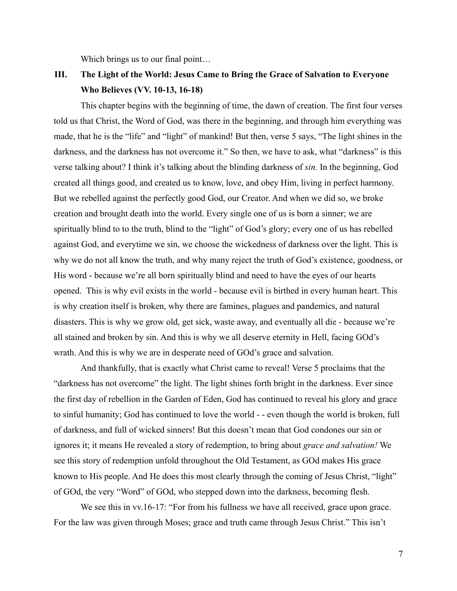Which brings us to our final point...

# **III. The Light of the World: Jesus Came to Bring the Grace of Salvation to Everyone Who Believes (VV. 10-13, 16-18)**

This chapter begins with the beginning of time, the dawn of creation. The first four verses told us that Christ, the Word of God, was there in the beginning, and through him everything was made, that he is the "life" and "light" of mankind! But then, verse 5 says, "The light shines in the darkness, and the darkness has not overcome it." So then, we have to ask, what "darkness" is this verse talking about? I think it's talking about the blinding darkness of *sin.* In the beginning, God created all things good, and created us to know, love, and obey Him, living in perfect harmony. But we rebelled against the perfectly good God, our Creator. And when we did so, we broke creation and brought death into the world. Every single one of us is born a sinner; we are spiritually blind to to the truth, blind to the "light" of God's glory; every one of us has rebelled against God, and everytime we sin, we choose the wickedness of darkness over the light. This is why we do not all know the truth, and why many reject the truth of God's existence, goodness, or His word - because we're all born spiritually blind and need to have the eyes of our hearts opened. This is why evil exists in the world - because evil is birthed in every human heart. This is why creation itself is broken, why there are famines, plagues and pandemics, and natural disasters. This is why we grow old, get sick, waste away, and eventually all die - because we're all stained and broken by sin. And this is why we all deserve eternity in Hell, facing GOd's wrath. And this is why we are in desperate need of GOd's grace and salvation.

And thankfully, that is exactly what Christ came to reveal! Verse 5 proclaims that the "darkness has not overcome" the light. The light shines forth bright in the darkness. Ever since the first day of rebellion in the Garden of Eden, God has continued to reveal his glory and grace to sinful humanity; God has continued to love the world - - even though the world is broken, full of darkness, and full of wicked sinners! But this doesn't mean that God condones our sin or ignores it; it means He revealed a story of redemption, to bring about *grace and salvation!* We see this story of redemption unfold throughout the Old Testament, as GOd makes His grace known to His people. And He does this most clearly through the coming of Jesus Christ, "light" of GOd, the very "Word" of GOd, who stepped down into the darkness, becoming flesh.

We see this in vv.16-17: "For from his fullness we have all received, grace upon grace. For the law was given through Moses; grace and truth came through Jesus Christ." This isn't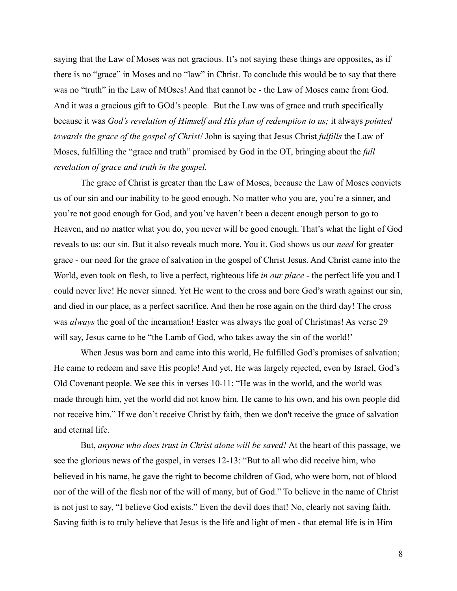saying that the Law of Moses was not gracious. It's not saying these things are opposites, as if there is no "grace" in Moses and no "law" in Christ. To conclude this would be to say that there was no "truth" in the Law of MOses! And that cannot be - the Law of Moses came from God. And it was a gracious gift to GOd's people. But the Law was of grace and truth specifically because it was *God's revelation of Himself and His plan of redemption to us;* it always *pointed towards the grace of the gospel of Christ!* John is saying that Jesus Christ *fulfills* the Law of Moses, fulfilling the "grace and truth" promised by God in the OT, bringing about the *full revelation of grace and truth in the gospel.*

The grace of Christ is greater than the Law of Moses, because the Law of Moses convicts us of our sin and our inability to be good enough. No matter who you are, you're a sinner, and you're not good enough for God, and you've haven't been a decent enough person to go to Heaven, and no matter what you do, you never will be good enough. That's what the light of God reveals to us: our sin. But it also reveals much more. You it, God shows us our *need* for greater grace - our need for the grace of salvation in the gospel of Christ Jesus. And Christ came into the World, even took on flesh, to live a perfect, righteous life *in our place* - the perfect life you and I could never live! He never sinned. Yet He went to the cross and bore God's wrath against our sin, and died in our place, as a perfect sacrifice. And then he rose again on the third day! The cross was *always* the goal of the incarnation! Easter was always the goal of Christmas! As verse 29 will say, Jesus came to be "the Lamb of God, who takes away the sin of the world!"

When Jesus was born and came into this world, He fulfilled God's promises of salvation; He came to redeem and save His people! And yet, He was largely rejected, even by Israel, God's Old Covenant people. We see this in verses 10-11: "He was in the world, and the world was made through him, yet the world did not know him. He came to his own, and his own people did not receive him." If we don't receive Christ by faith, then we don't receive the grace of salvation and eternal life.

But, *anyone who does trust in Christ alone will be saved!* At the heart of this passage, we see the glorious news of the gospel, in verses 12-13: "But to all who did receive him, who believed in his name, he gave the right to become children of God, who were born, not of blood nor of the will of the flesh nor of the will of many, but of God." To believe in the name of Christ is not just to say, "I believe God exists." Even the devil does that! No, clearly not saving faith. Saving faith is to truly believe that Jesus is the life and light of men - that eternal life is in Him